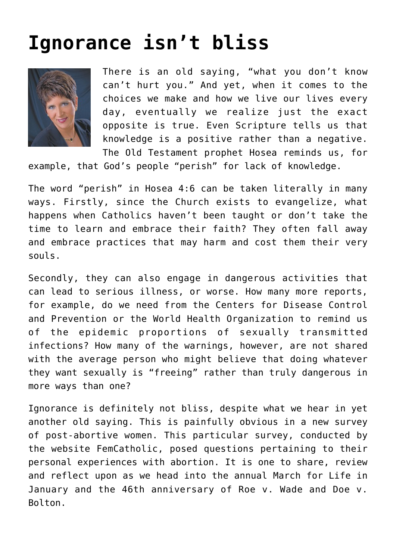## **[Ignorance isn't bliss](https://www.osvnews.com/2018/12/30/ignorance-isnt-bliss/)**



There is an old saying, "what you don't know can't hurt you." And yet, when it comes to the choices we make and how we live our lives every day, eventually we realize just the exact opposite is true. Even Scripture tells us that knowledge is a positive rather than a negative. The Old Testament prophet Hosea reminds us, for

example, that God's people "perish" for lack of knowledge.

The word "perish" in Hosea 4:6 can be taken literally in many ways. Firstly, since the Church exists to evangelize, what happens when Catholics haven't been taught or don't take the time to learn and embrace their faith? They often fall away and embrace practices that may harm and cost them their very souls.

Secondly, they can also engage in dangerous activities that can lead to serious illness, or worse. How many more reports, for example, do we need from the Centers for Disease Control and Prevention or the World Health Organization to remind us of the epidemic proportions of sexually transmitted infections? How many of the warnings, however, are not shared with the average person who might believe that doing whatever they want sexually is "freeing" rather than truly dangerous in more ways than one?

Ignorance is definitely not bliss, despite what we hear in yet another old saying. This is painfully obvious in a new survey of post-abortive women. This particular survey, conducted by the website FemCatholic, posed questions pertaining to their personal experiences with abortion. It is one to share, review and reflect upon as we head into the annual March for Life in January and the 46th anniversary of Roe v. Wade and Doe v. Bolton.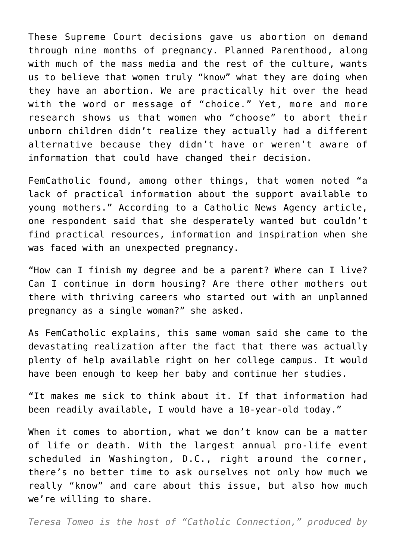These Supreme Court decisions gave us abortion on demand through nine months of pregnancy. Planned Parenthood, along with much of the mass media and the rest of the culture, wants us to believe that women truly "know" what they are doing when they have an abortion. We are practically hit over the head with the word or message of "choice." Yet, more and more research shows us that women who "choose" to abort their unborn children didn't realize they actually had a different alternative because they didn't have or weren't aware of information that could have changed their decision.

FemCatholic found, among other things, that women noted "a lack of practical information about the support available to young mothers." According to a Catholic News Agency article, one respondent said that she desperately wanted but couldn't find practical resources, information and inspiration when she was faced with an unexpected pregnancy.

"How can I finish my degree and be a parent? Where can I live? Can I continue in dorm housing? Are there other mothers out there with thriving careers who started out with an unplanned pregnancy as a single woman?" she asked.

As FemCatholic explains, this same woman said she came to the devastating realization after the fact that there was actually plenty of help available right on her college campus. It would have been enough to keep her baby and continue her studies.

"It makes me sick to think about it. If that information had been readily available, I would have a 10-year-old today."

When it comes to abortion, what we don't know can be a matter of life or death. With the largest annual pro-life event scheduled in Washington, D.C., right around the corner, there's no better time to ask ourselves not only how much we really "know" and care about this issue, but also how much we're willing to share.

*Teresa Tomeo is the host of "Catholic Connection," produced by*